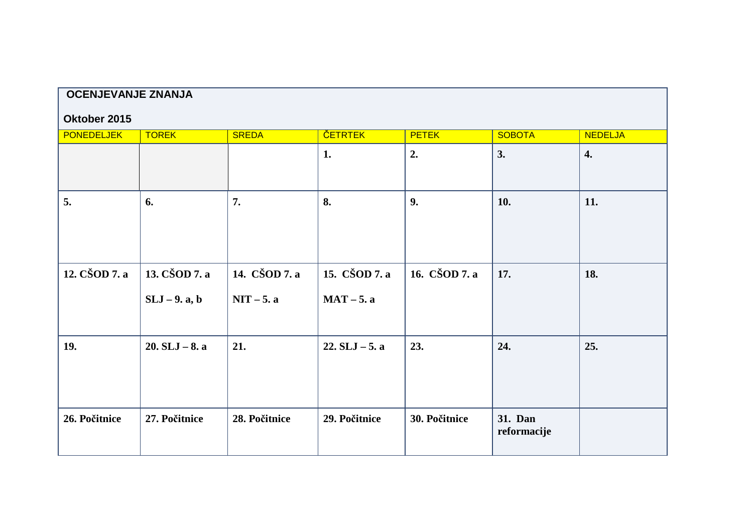| <b>OCENJEVANJE ZNANJA</b> |                                |                               |                               |               |                        |                    |  |
|---------------------------|--------------------------------|-------------------------------|-------------------------------|---------------|------------------------|--------------------|--|
| Oktober 2015              |                                |                               |                               |               |                        |                    |  |
| <b>PONEDELJEK</b>         | <b>TOREK</b>                   | <b>SREDA</b>                  | <b>ČETRTEK</b>                | <b>PETEK</b>  | <b>SOBOTA</b>          | <b>NEDELJA</b>     |  |
|                           |                                |                               | 1.                            | 2.            | 3.                     | $\boldsymbol{4}$ . |  |
| 5.                        | 6.                             | 7.                            | 8.                            | 9.            | 10.                    | 11.                |  |
| 12. CŠOD 7. a             | 13. CŠOD 7. a<br>$SLJ-9.$ a, b | 14. CŠOD 7. a<br>$NIT - 5. a$ | 15. CŠOD 7. a<br>$MAT - 5. a$ | 16. CŠOD 7. a | 17.                    | 18.                |  |
| 19.                       | $20. SLJ - 8. a$               | 21.                           | $22. SLJ - 5. a$              | 23.           | 24.                    | 25.                |  |
| 26. Počitnice             | 27. Počitnice                  | 28. Počitnice                 | 29. Počitnice                 | 30. Počitnice | 31. Dan<br>reformacije |                    |  |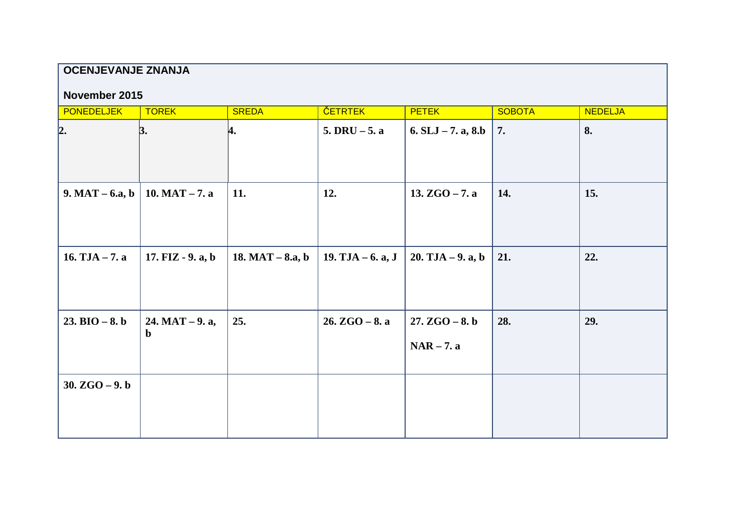## **OCENJEVANJE ZNANJA**

### **November 2015**

| <b>PONEDELJEK</b> | <b>TOREK</b>                     | <b>SREDA</b>       | <b>ČETRTEK</b>     | <b>PETEK</b>                     | <b>SOBOTA</b> | <b>NEDELJA</b> |
|-------------------|----------------------------------|--------------------|--------------------|----------------------------------|---------------|----------------|
| 2.                | 3.                               | 4.                 | $5. DRU - 5. a$    | 6. $SLJ - 7$ . a, 8.b            | 7.            | 8.             |
| $9. MAT - 6.a, b$ | 10. MAT $-7. a$                  | 11.                | 12.                | 13. $ZGO - 7. a$                 | 14.           | <b>15.</b>     |
| 16. $TJA - 7. a$  | 17. $FIZ - 9. a, b$              | 18. MAT $-$ 8.a, b | 19. TJA $-6. a, J$ | $20. TJA - 9. a, b$              | 21.           | 22.            |
| $23. BIO - 8. b$  | $24. MAT - 9. a,$<br>$\mathbf b$ | 25.                | $26. ZGO - 8. a$   | $27. ZGO - 8. b$<br>$NAR - 7. a$ | 28.           | 29.            |
| 30. $ZGO - 9. b$  |                                  |                    |                    |                                  |               |                |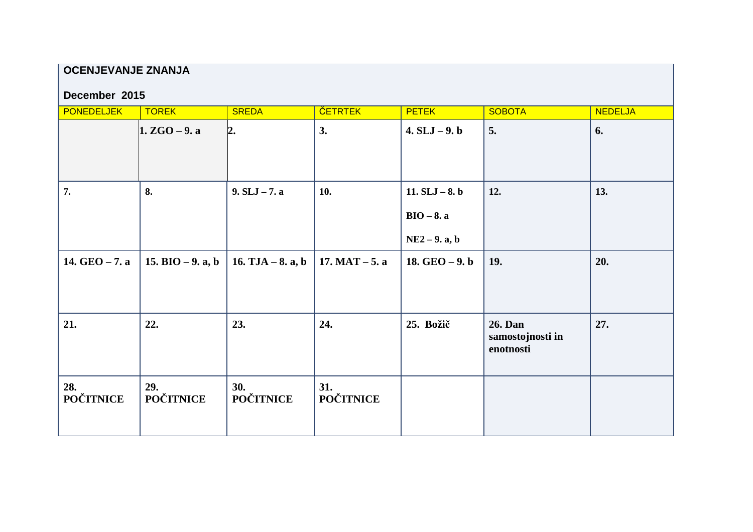# **OCENJEVANJE ZNANJA**

#### **December 2015**

| <b>PONEDELJEK</b>       | <b>TOREK</b>            | <b>SREDA</b>            | <b>ČETRTEK</b>          | <b>PETEK</b>                                        | <b>SOBOTA</b>                            | <b>NEDELJA</b> |
|-------------------------|-------------------------|-------------------------|-------------------------|-----------------------------------------------------|------------------------------------------|----------------|
|                         | $1. ZGO - 9. a$         | 2.                      | 3.                      | $4. SLJ - 9. b$                                     | 5.                                       | 6.             |
| 7.                      | 8.                      | $9. SLJ - 7. a$         | 10.                     | 11. $SLJ - 8. b$<br>$BIO - 8. a$<br>$NE2 - 9.$ a, b | 12.                                      | 13.            |
| 14. $GEO - 7.$ a        | 15. BIO $-9$ . a, b     | 16. $TJA - 8$ . a, b    | $17. MAT - 5. a$        | 18. $GEO - 9. b$                                    | 19.                                      | 20.            |
| 21.                     | 22.                     | 23.                     | 24.                     | 25. Božič                                           | 26. Dan<br>samostojnosti in<br>enotnosti | 27.            |
| 28.<br><b>POČITNICE</b> | 29.<br><b>POČITNICE</b> | 30.<br><b>POČITNICE</b> | 31.<br><b>POČITNICE</b> |                                                     |                                          |                |